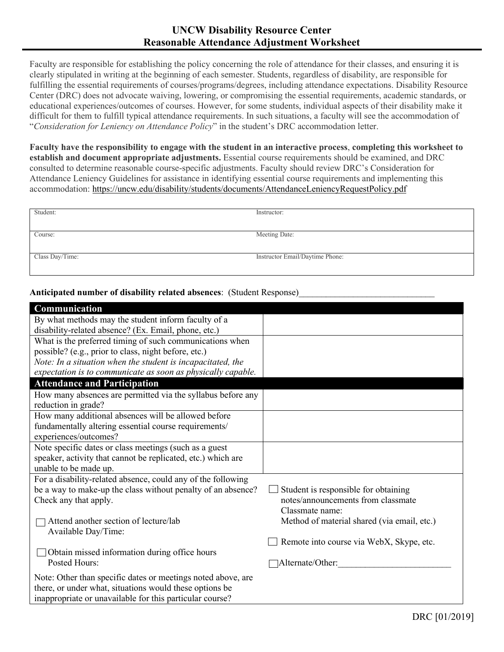## **UNCW Disability Resource Center Reasonable Attendance Adjustment Worksheet**

Faculty are responsible for establishing the policy concerning the role of attendance for their classes, and ensuring it is clearly stipulated in writing at the beginning of each semester. Students, regardless of disability, are responsible for fulfilling the essential requirements of courses/programs/degrees, including attendance expectations. Disability Resource Center (DRC) does not advocate waiving, lowering, or compromising the essential requirements, academic standards, or educational experiences/outcomes of courses. However, for some students, individual aspects of their disability make it difficult for them to fulfill typical attendance requirements. In such situations, a faculty will see the accommodation of "*Consideration for Leniency on Attendance Policy*" in the student's DRC accommodation letter.

**Faculty have the responsibility to engage with the student in an interactive process**, **completing this worksheet to establish and document appropriate adjustments.** Essential course requirements should be examined, and DRC consulted to determine reasonable course-specific adjustments. Faculty should review DRC's Consideration for Attendance Leniency Guidelines for assistance in identifying essential course requirements and implementing this accommodation: https://uncw.edu/disability/students/documents/AttendanceLeniencyRequestPolicy.pdf

| Student:        | Instructor:                     |
|-----------------|---------------------------------|
|                 |                                 |
|                 |                                 |
|                 |                                 |
|                 |                                 |
| Course:         | Meeting Date:                   |
|                 |                                 |
|                 |                                 |
|                 |                                 |
|                 |                                 |
| Class Day/Time: | Instructor Email/Daytime Phone: |
|                 |                                 |
|                 |                                 |
|                 |                                 |

**Anticipated number of disability related absences**: (Student Response)\_\_\_\_\_\_\_\_\_\_\_\_\_\_\_\_\_\_\_\_\_\_\_\_\_\_\_\_\_\_

| Communication                                                |                                             |
|--------------------------------------------------------------|---------------------------------------------|
| By what methods may the student inform faculty of a          |                                             |
| disability-related absence? (Ex. Email, phone, etc.)         |                                             |
| What is the preferred timing of such communications when     |                                             |
| possible? (e.g., prior to class, night before, etc.)         |                                             |
| Note: In a situation when the student is incapacitated, the  |                                             |
| expectation is to communicate as soon as physically capable. |                                             |
| <b>Attendance and Participation</b>                          |                                             |
| How many absences are permitted via the syllabus before any  |                                             |
| reduction in grade?                                          |                                             |
| How many additional absences will be allowed before          |                                             |
| fundamentally altering essential course requirements/        |                                             |
| experiences/outcomes?                                        |                                             |
| Note specific dates or class meetings (such as a guest       |                                             |
| speaker, activity that cannot be replicated, etc.) which are |                                             |
| unable to be made up.                                        |                                             |
| For a disability-related absence, could any of the following |                                             |
| be a way to make-up the class without penalty of an absence? | Student is responsible for obtaining        |
| Check any that apply.                                        | notes/announcements from classmate          |
|                                                              | Classmate name:                             |
| Attend another section of lecture/lab                        | Method of material shared (via email, etc.) |
| Available Day/Time:                                          |                                             |
|                                                              | Remote into course via WebX, Skype, etc.    |
| Obtain missed information during office hours                |                                             |
| Posted Hours:                                                | Alternate/Other:                            |
| Note: Other than specific dates or meetings noted above, are |                                             |
| there, or under what, situations would these options be      |                                             |
| inappropriate or unavailable for this particular course?     |                                             |